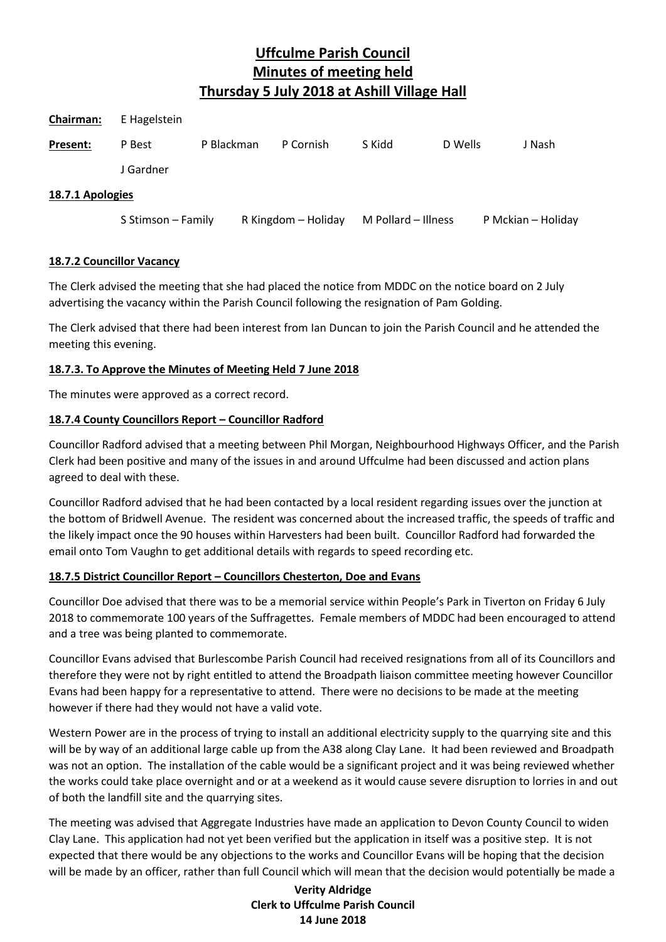| <b>Chairman:</b> | E Hagelstein       |            |                     |                     |         |                    |
|------------------|--------------------|------------|---------------------|---------------------|---------|--------------------|
| Present:         | P Best             | P Blackman | P Cornish           | S Kidd              | D Wells | J Nash             |
|                  | J Gardner          |            |                     |                     |         |                    |
| 18.7.1 Apologies |                    |            |                     |                     |         |                    |
|                  | S Stimson - Family |            | R Kingdom - Holiday | M Pollard - Illness |         | P Mckian - Holiday |

#### **18.7.2 Councillor Vacancy**

The Clerk advised the meeting that she had placed the notice from MDDC on the notice board on 2 July advertising the vacancy within the Parish Council following the resignation of Pam Golding.

The Clerk advised that there had been interest from Ian Duncan to join the Parish Council and he attended the meeting this evening.

# **18.7.3. To Approve the Minutes of Meeting Held 7 June 2018**

The minutes were approved as a correct record.

# **18.7.4 County Councillors Report – Councillor Radford**

Councillor Radford advised that a meeting between Phil Morgan, Neighbourhood Highways Officer, and the Parish Clerk had been positive and many of the issues in and around Uffculme had been discussed and action plans agreed to deal with these.

Councillor Radford advised that he had been contacted by a local resident regarding issues over the junction at the bottom of Bridwell Avenue. The resident was concerned about the increased traffic, the speeds of traffic and the likely impact once the 90 houses within Harvesters had been built. Councillor Radford had forwarded the email onto Tom Vaughn to get additional details with regards to speed recording etc.

# **18.7.5 District Councillor Report – Councillors Chesterton, Doe and Evans**

Councillor Doe advised that there was to be a memorial service within People's Park in Tiverton on Friday 6 July 2018 to commemorate 100 years of the Suffragettes. Female members of MDDC had been encouraged to attend and a tree was being planted to commemorate.

Councillor Evans advised that Burlescombe Parish Council had received resignations from all of its Councillors and therefore they were not by right entitled to attend the Broadpath liaison committee meeting however Councillor Evans had been happy for a representative to attend. There were no decisions to be made at the meeting however if there had they would not have a valid vote.

Western Power are in the process of trying to install an additional electricity supply to the quarrying site and this will be by way of an additional large cable up from the A38 along Clay Lane. It had been reviewed and Broadpath was not an option. The installation of the cable would be a significant project and it was being reviewed whether the works could take place overnight and or at a weekend as it would cause severe disruption to lorries in and out of both the landfill site and the quarrying sites.

The meeting was advised that Aggregate Industries have made an application to Devon County Council to widen Clay Lane. This application had not yet been verified but the application in itself was a positive step. It is not expected that there would be any objections to the works and Councillor Evans will be hoping that the decision will be made by an officer, rather than full Council which will mean that the decision would potentially be made a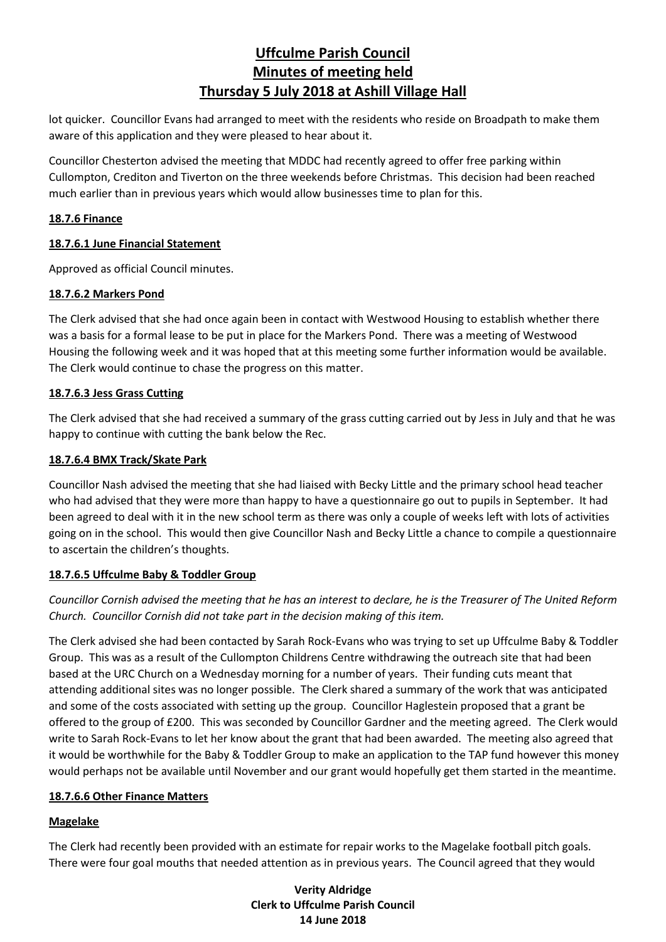lot quicker. Councillor Evans had arranged to meet with the residents who reside on Broadpath to make them aware of this application and they were pleased to hear about it.

Councillor Chesterton advised the meeting that MDDC had recently agreed to offer free parking within Cullompton, Crediton and Tiverton on the three weekends before Christmas. This decision had been reached much earlier than in previous years which would allow businesses time to plan for this.

### **18.7.6 Finance**

# **18.7.6.1 June Financial Statement**

Approved as official Council minutes.

# **18.7.6.2 Markers Pond**

The Clerk advised that she had once again been in contact with Westwood Housing to establish whether there was a basis for a formal lease to be put in place for the Markers Pond. There was a meeting of Westwood Housing the following week and it was hoped that at this meeting some further information would be available. The Clerk would continue to chase the progress on this matter.

# **18.7.6.3 Jess Grass Cutting**

The Clerk advised that she had received a summary of the grass cutting carried out by Jess in July and that he was happy to continue with cutting the bank below the Rec.

# **18.7.6.4 BMX Track/Skate Park**

Councillor Nash advised the meeting that she had liaised with Becky Little and the primary school head teacher who had advised that they were more than happy to have a questionnaire go out to pupils in September. It had been agreed to deal with it in the new school term as there was only a couple of weeks left with lots of activities going on in the school. This would then give Councillor Nash and Becky Little a chance to compile a questionnaire to ascertain the children's thoughts.

#### **18.7.6.5 Uffculme Baby & Toddler Group**

*Councillor Cornish advised the meeting that he has an interest to declare, he is the Treasurer of The United Reform Church. Councillor Cornish did not take part in the decision making of this item.*

The Clerk advised she had been contacted by Sarah Rock-Evans who was trying to set up Uffculme Baby & Toddler Group. This was as a result of the Cullompton Childrens Centre withdrawing the outreach site that had been based at the URC Church on a Wednesday morning for a number of years. Their funding cuts meant that attending additional sites was no longer possible. The Clerk shared a summary of the work that was anticipated and some of the costs associated with setting up the group. Councillor Haglestein proposed that a grant be offered to the group of £200. This was seconded by Councillor Gardner and the meeting agreed. The Clerk would write to Sarah Rock-Evans to let her know about the grant that had been awarded. The meeting also agreed that it would be worthwhile for the Baby & Toddler Group to make an application to the TAP fund however this money would perhaps not be available until November and our grant would hopefully get them started in the meantime.

#### **18.7.6.6 Other Finance Matters**

# **Magelake**

The Clerk had recently been provided with an estimate for repair works to the Magelake football pitch goals. There were four goal mouths that needed attention as in previous years. The Council agreed that they would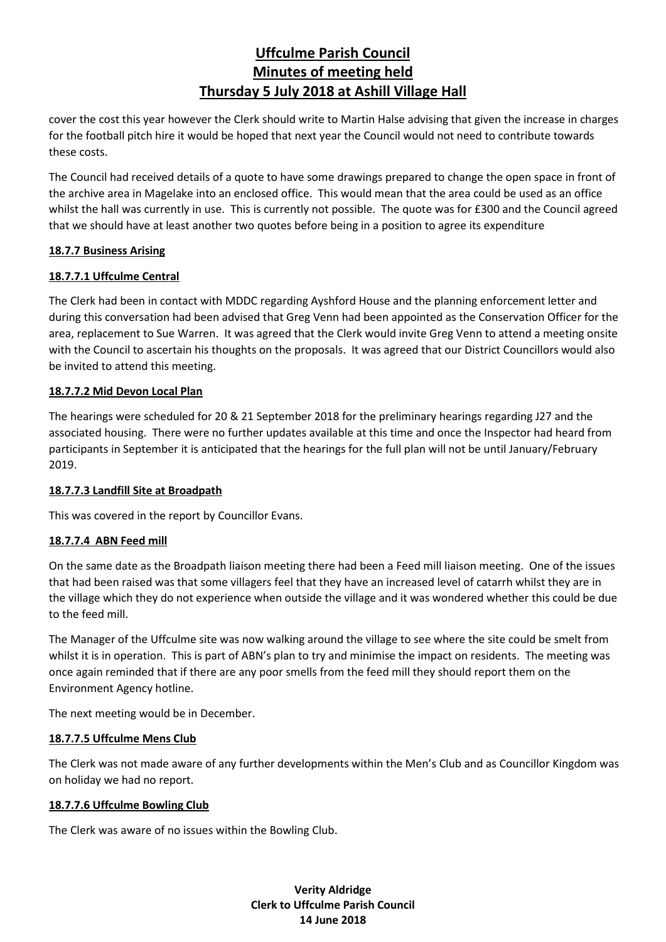cover the cost this year however the Clerk should write to Martin Halse advising that given the increase in charges for the football pitch hire it would be hoped that next year the Council would not need to contribute towards these costs.

The Council had received details of a quote to have some drawings prepared to change the open space in front of the archive area in Magelake into an enclosed office. This would mean that the area could be used as an office whilst the hall was currently in use. This is currently not possible. The quote was for £300 and the Council agreed that we should have at least another two quotes before being in a position to agree its expenditure

#### **18.7.7 Business Arising**

# **18.7.7.1 Uffculme Central**

The Clerk had been in contact with MDDC regarding Ayshford House and the planning enforcement letter and during this conversation had been advised that Greg Venn had been appointed as the Conservation Officer for the area, replacement to Sue Warren. It was agreed that the Clerk would invite Greg Venn to attend a meeting onsite with the Council to ascertain his thoughts on the proposals. It was agreed that our District Councillors would also be invited to attend this meeting.

#### **18.7.7.2 Mid Devon Local Plan**

The hearings were scheduled for 20 & 21 September 2018 for the preliminary hearings regarding J27 and the associated housing. There were no further updates available at this time and once the Inspector had heard from participants in September it is anticipated that the hearings for the full plan will not be until January/February 2019.

#### **18.7.7.3 Landfill Site at Broadpath**

This was covered in the report by Councillor Evans.

# **18.7.7.4 ABN Feed mill**

On the same date as the Broadpath liaison meeting there had been a Feed mill liaison meeting. One of the issues that had been raised was that some villagers feel that they have an increased level of catarrh whilst they are in the village which they do not experience when outside the village and it was wondered whether this could be due to the feed mill.

The Manager of the Uffculme site was now walking around the village to see where the site could be smelt from whilst it is in operation. This is part of ABN's plan to try and minimise the impact on residents. The meeting was once again reminded that if there are any poor smells from the feed mill they should report them on the Environment Agency hotline.

The next meeting would be in December.

#### **18.7.7.5 Uffculme Mens Club**

The Clerk was not made aware of any further developments within the Men's Club and as Councillor Kingdom was on holiday we had no report.

#### **18.7.7.6 Uffculme Bowling Club**

The Clerk was aware of no issues within the Bowling Club.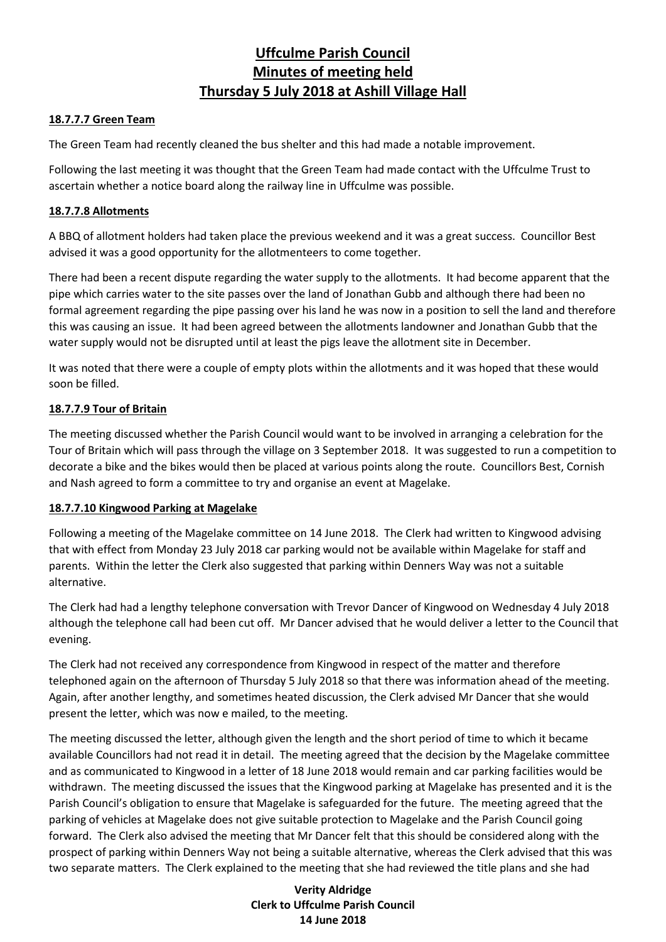#### **18.7.7.7 Green Team**

The Green Team had recently cleaned the bus shelter and this had made a notable improvement.

Following the last meeting it was thought that the Green Team had made contact with the Uffculme Trust to ascertain whether a notice board along the railway line in Uffculme was possible.

#### **18.7.7.8 Allotments**

A BBQ of allotment holders had taken place the previous weekend and it was a great success. Councillor Best advised it was a good opportunity for the allotmenteers to come together.

There had been a recent dispute regarding the water supply to the allotments. It had become apparent that the pipe which carries water to the site passes over the land of Jonathan Gubb and although there had been no formal agreement regarding the pipe passing over his land he was now in a position to sell the land and therefore this was causing an issue. It had been agreed between the allotments landowner and Jonathan Gubb that the water supply would not be disrupted until at least the pigs leave the allotment site in December.

It was noted that there were a couple of empty plots within the allotments and it was hoped that these would soon be filled.

# **18.7.7.9 Tour of Britain**

The meeting discussed whether the Parish Council would want to be involved in arranging a celebration for the Tour of Britain which will pass through the village on 3 September 2018. It was suggested to run a competition to decorate a bike and the bikes would then be placed at various points along the route. Councillors Best, Cornish and Nash agreed to form a committee to try and organise an event at Magelake.

#### **18.7.7.10 Kingwood Parking at Magelake**

Following a meeting of the Magelake committee on 14 June 2018. The Clerk had written to Kingwood advising that with effect from Monday 23 July 2018 car parking would not be available within Magelake for staff and parents. Within the letter the Clerk also suggested that parking within Denners Way was not a suitable alternative.

The Clerk had had a lengthy telephone conversation with Trevor Dancer of Kingwood on Wednesday 4 July 2018 although the telephone call had been cut off. Mr Dancer advised that he would deliver a letter to the Council that evening.

The Clerk had not received any correspondence from Kingwood in respect of the matter and therefore telephoned again on the afternoon of Thursday 5 July 2018 so that there was information ahead of the meeting. Again, after another lengthy, and sometimes heated discussion, the Clerk advised Mr Dancer that she would present the letter, which was now e mailed, to the meeting.

The meeting discussed the letter, although given the length and the short period of time to which it became available Councillors had not read it in detail. The meeting agreed that the decision by the Magelake committee and as communicated to Kingwood in a letter of 18 June 2018 would remain and car parking facilities would be withdrawn. The meeting discussed the issues that the Kingwood parking at Magelake has presented and it is the Parish Council's obligation to ensure that Magelake is safeguarded for the future. The meeting agreed that the parking of vehicles at Magelake does not give suitable protection to Magelake and the Parish Council going forward. The Clerk also advised the meeting that Mr Dancer felt that this should be considered along with the prospect of parking within Denners Way not being a suitable alternative, whereas the Clerk advised that this was two separate matters. The Clerk explained to the meeting that she had reviewed the title plans and she had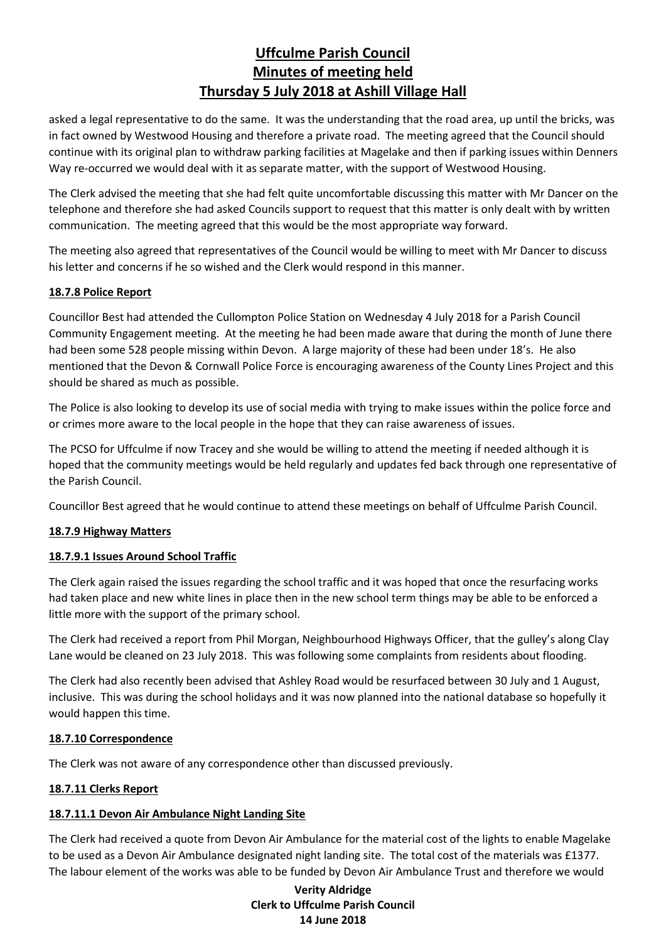asked a legal representative to do the same. It was the understanding that the road area, up until the bricks, was in fact owned by Westwood Housing and therefore a private road. The meeting agreed that the Council should continue with its original plan to withdraw parking facilities at Magelake and then if parking issues within Denners Way re-occurred we would deal with it as separate matter, with the support of Westwood Housing.

The Clerk advised the meeting that she had felt quite uncomfortable discussing this matter with Mr Dancer on the telephone and therefore she had asked Councils support to request that this matter is only dealt with by written communication. The meeting agreed that this would be the most appropriate way forward.

The meeting also agreed that representatives of the Council would be willing to meet with Mr Dancer to discuss his letter and concerns if he so wished and the Clerk would respond in this manner.

# **18.7.8 Police Report**

Councillor Best had attended the Cullompton Police Station on Wednesday 4 July 2018 for a Parish Council Community Engagement meeting. At the meeting he had been made aware that during the month of June there had been some 528 people missing within Devon. A large majority of these had been under 18's. He also mentioned that the Devon & Cornwall Police Force is encouraging awareness of the County Lines Project and this should be shared as much as possible.

The Police is also looking to develop its use of social media with trying to make issues within the police force and or crimes more aware to the local people in the hope that they can raise awareness of issues.

The PCSO for Uffculme if now Tracey and she would be willing to attend the meeting if needed although it is hoped that the community meetings would be held regularly and updates fed back through one representative of the Parish Council.

Councillor Best agreed that he would continue to attend these meetings on behalf of Uffculme Parish Council.

#### **18.7.9 Highway Matters**

#### **18.7.9.1 Issues Around School Traffic**

The Clerk again raised the issues regarding the school traffic and it was hoped that once the resurfacing works had taken place and new white lines in place then in the new school term things may be able to be enforced a little more with the support of the primary school.

The Clerk had received a report from Phil Morgan, Neighbourhood Highways Officer, that the gulley's along Clay Lane would be cleaned on 23 July 2018. This was following some complaints from residents about flooding.

The Clerk had also recently been advised that Ashley Road would be resurfaced between 30 July and 1 August, inclusive. This was during the school holidays and it was now planned into the national database so hopefully it would happen this time.

#### **18.7.10 Correspondence**

The Clerk was not aware of any correspondence other than discussed previously.

#### **18.7.11 Clerks Report**

#### **18.7.11.1 Devon Air Ambulance Night Landing Site**

The Clerk had received a quote from Devon Air Ambulance for the material cost of the lights to enable Magelake to be used as a Devon Air Ambulance designated night landing site. The total cost of the materials was £1377. The labour element of the works was able to be funded by Devon Air Ambulance Trust and therefore we would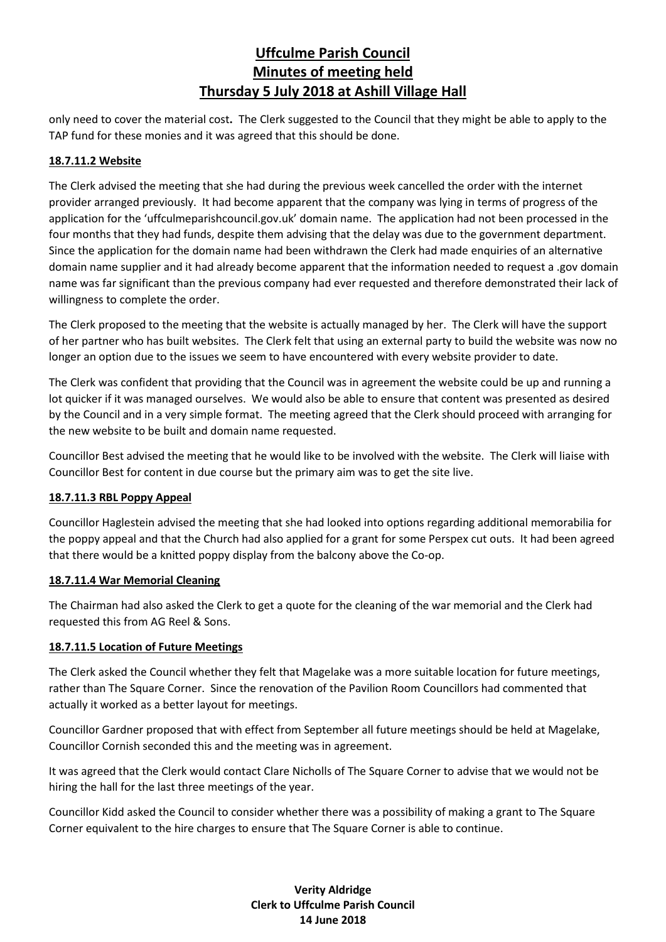only need to cover the material cost**.** The Clerk suggested to the Council that they might be able to apply to the TAP fund for these monies and it was agreed that this should be done.

### **18.7.11.2 Website**

The Clerk advised the meeting that she had during the previous week cancelled the order with the internet provider arranged previously. It had become apparent that the company was lying in terms of progress of the application for the 'uffculmeparishcouncil.gov.uk' domain name. The application had not been processed in the four months that they had funds, despite them advising that the delay was due to the government department. Since the application for the domain name had been withdrawn the Clerk had made enquiries of an alternative domain name supplier and it had already become apparent that the information needed to request a .gov domain name was far significant than the previous company had ever requested and therefore demonstrated their lack of willingness to complete the order.

The Clerk proposed to the meeting that the website is actually managed by her. The Clerk will have the support of her partner who has built websites. The Clerk felt that using an external party to build the website was now no longer an option due to the issues we seem to have encountered with every website provider to date.

The Clerk was confident that providing that the Council was in agreement the website could be up and running a lot quicker if it was managed ourselves. We would also be able to ensure that content was presented as desired by the Council and in a very simple format. The meeting agreed that the Clerk should proceed with arranging for the new website to be built and domain name requested.

Councillor Best advised the meeting that he would like to be involved with the website. The Clerk will liaise with Councillor Best for content in due course but the primary aim was to get the site live.

#### **18.7.11.3 RBL Poppy Appeal**

Councillor Haglestein advised the meeting that she had looked into options regarding additional memorabilia for the poppy appeal and that the Church had also applied for a grant for some Perspex cut outs. It had been agreed that there would be a knitted poppy display from the balcony above the Co-op.

#### **18.7.11.4 War Memorial Cleaning**

The Chairman had also asked the Clerk to get a quote for the cleaning of the war memorial and the Clerk had requested this from AG Reel & Sons.

# **18.7.11.5 Location of Future Meetings**

The Clerk asked the Council whether they felt that Magelake was a more suitable location for future meetings, rather than The Square Corner. Since the renovation of the Pavilion Room Councillors had commented that actually it worked as a better layout for meetings.

Councillor Gardner proposed that with effect from September all future meetings should be held at Magelake, Councillor Cornish seconded this and the meeting was in agreement.

It was agreed that the Clerk would contact Clare Nicholls of The Square Corner to advise that we would not be hiring the hall for the last three meetings of the year.

Councillor Kidd asked the Council to consider whether there was a possibility of making a grant to The Square Corner equivalent to the hire charges to ensure that The Square Corner is able to continue.